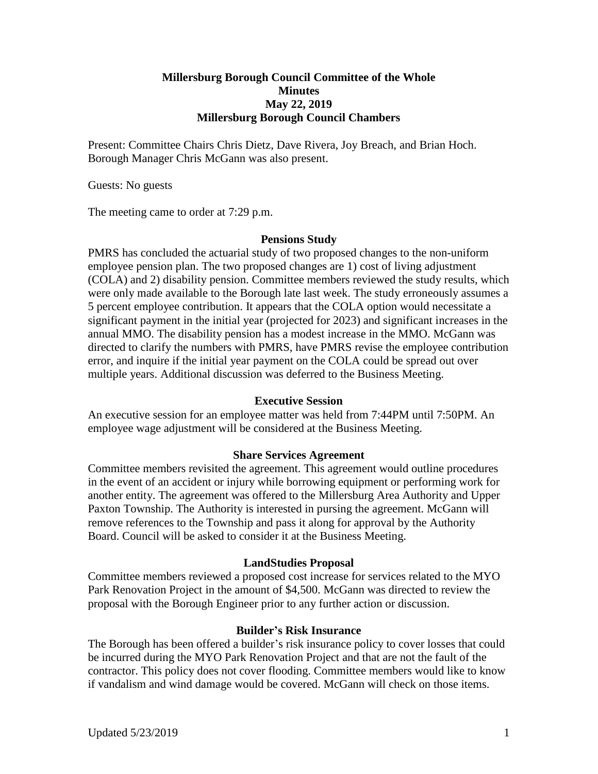## **Millersburg Borough Council Committee of the Whole Minutes May 22, 2019 Millersburg Borough Council Chambers**

Present: Committee Chairs Chris Dietz, Dave Rivera, Joy Breach, and Brian Hoch. Borough Manager Chris McGann was also present.

Guests: No guests

The meeting came to order at 7:29 p.m.

#### **Pensions Study**

PMRS has concluded the actuarial study of two proposed changes to the non-uniform employee pension plan. The two proposed changes are 1) cost of living adjustment (COLA) and 2) disability pension. Committee members reviewed the study results, which were only made available to the Borough late last week. The study erroneously assumes a 5 percent employee contribution. It appears that the COLA option would necessitate a significant payment in the initial year (projected for 2023) and significant increases in the annual MMO. The disability pension has a modest increase in the MMO. McGann was directed to clarify the numbers with PMRS, have PMRS revise the employee contribution error, and inquire if the initial year payment on the COLA could be spread out over multiple years. Additional discussion was deferred to the Business Meeting.

#### **Executive Session**

An executive session for an employee matter was held from 7:44PM until 7:50PM. An employee wage adjustment will be considered at the Business Meeting.

### **Share Services Agreement**

Committee members revisited the agreement. This agreement would outline procedures in the event of an accident or injury while borrowing equipment or performing work for another entity. The agreement was offered to the Millersburg Area Authority and Upper Paxton Township. The Authority is interested in pursing the agreement. McGann will remove references to the Township and pass it along for approval by the Authority Board. Council will be asked to consider it at the Business Meeting.

### **LandStudies Proposal**

Committee members reviewed a proposed cost increase for services related to the MYO Park Renovation Project in the amount of \$4,500. McGann was directed to review the proposal with the Borough Engineer prior to any further action or discussion.

### **Builder's Risk Insurance**

The Borough has been offered a builder's risk insurance policy to cover losses that could be incurred during the MYO Park Renovation Project and that are not the fault of the contractor. This policy does not cover flooding. Committee members would like to know if vandalism and wind damage would be covered. McGann will check on those items.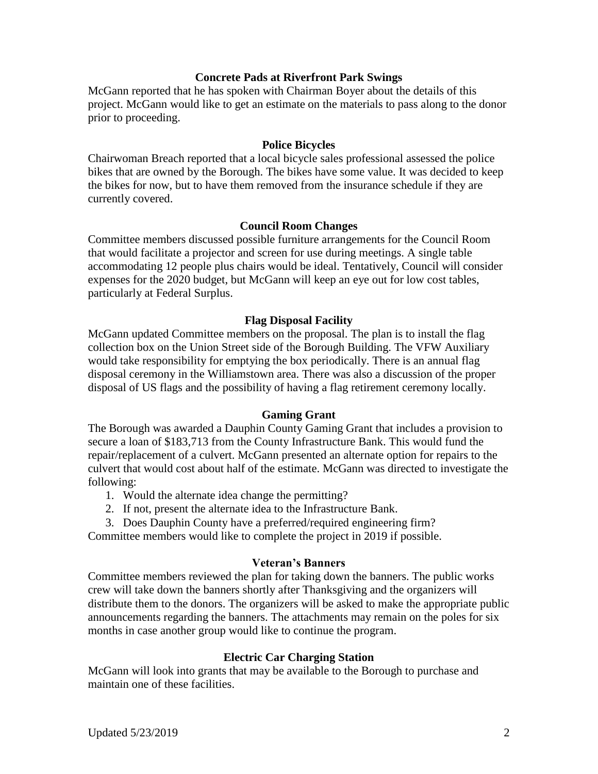### **Concrete Pads at Riverfront Park Swings**

McGann reported that he has spoken with Chairman Boyer about the details of this project. McGann would like to get an estimate on the materials to pass along to the donor prior to proceeding.

## **Police Bicycles**

Chairwoman Breach reported that a local bicycle sales professional assessed the police bikes that are owned by the Borough. The bikes have some value. It was decided to keep the bikes for now, but to have them removed from the insurance schedule if they are currently covered.

# **Council Room Changes**

Committee members discussed possible furniture arrangements for the Council Room that would facilitate a projector and screen for use during meetings. A single table accommodating 12 people plus chairs would be ideal. Tentatively, Council will consider expenses for the 2020 budget, but McGann will keep an eye out for low cost tables, particularly at Federal Surplus.

### **Flag Disposal Facility**

McGann updated Committee members on the proposal. The plan is to install the flag collection box on the Union Street side of the Borough Building. The VFW Auxiliary would take responsibility for emptying the box periodically. There is an annual flag disposal ceremony in the Williamstown area. There was also a discussion of the proper disposal of US flags and the possibility of having a flag retirement ceremony locally.

### **Gaming Grant**

The Borough was awarded a Dauphin County Gaming Grant that includes a provision to secure a loan of \$183,713 from the County Infrastructure Bank. This would fund the repair/replacement of a culvert. McGann presented an alternate option for repairs to the culvert that would cost about half of the estimate. McGann was directed to investigate the following:

- 1. Would the alternate idea change the permitting?
- 2. If not, present the alternate idea to the Infrastructure Bank.
- 3. Does Dauphin County have a preferred/required engineering firm?

Committee members would like to complete the project in 2019 if possible.

### **Veteran's Banners**

Committee members reviewed the plan for taking down the banners. The public works crew will take down the banners shortly after Thanksgiving and the organizers will distribute them to the donors. The organizers will be asked to make the appropriate public announcements regarding the banners. The attachments may remain on the poles for six months in case another group would like to continue the program.

# **Electric Car Charging Station**

McGann will look into grants that may be available to the Borough to purchase and maintain one of these facilities.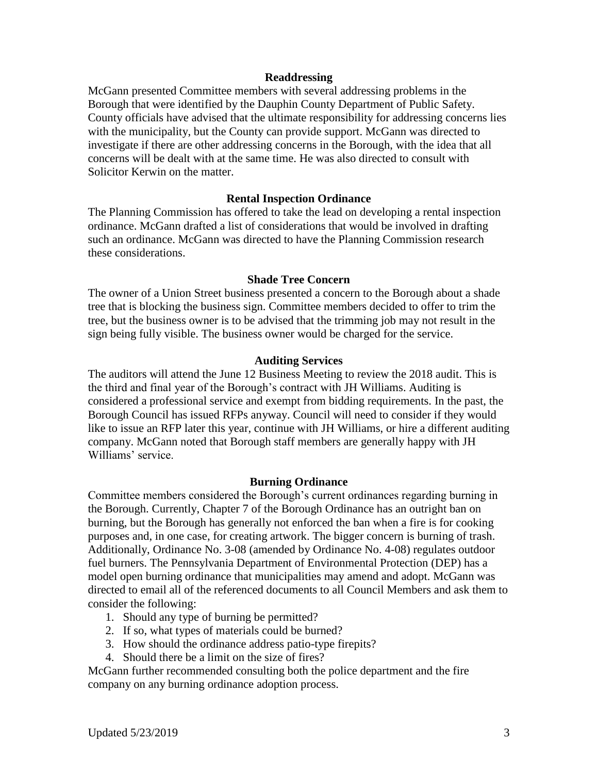#### **Readdressing**

McGann presented Committee members with several addressing problems in the Borough that were identified by the Dauphin County Department of Public Safety. County officials have advised that the ultimate responsibility for addressing concerns lies with the municipality, but the County can provide support. McGann was directed to investigate if there are other addressing concerns in the Borough, with the idea that all concerns will be dealt with at the same time. He was also directed to consult with Solicitor Kerwin on the matter.

### **Rental Inspection Ordinance**

The Planning Commission has offered to take the lead on developing a rental inspection ordinance. McGann drafted a list of considerations that would be involved in drafting such an ordinance. McGann was directed to have the Planning Commission research these considerations.

#### **Shade Tree Concern**

The owner of a Union Street business presented a concern to the Borough about a shade tree that is blocking the business sign. Committee members decided to offer to trim the tree, but the business owner is to be advised that the trimming job may not result in the sign being fully visible. The business owner would be charged for the service.

#### **Auditing Services**

The auditors will attend the June 12 Business Meeting to review the 2018 audit. This is the third and final year of the Borough's contract with JH Williams. Auditing is considered a professional service and exempt from bidding requirements. In the past, the Borough Council has issued RFPs anyway. Council will need to consider if they would like to issue an RFP later this year, continue with JH Williams, or hire a different auditing company. McGann noted that Borough staff members are generally happy with JH Williams' service.

#### **Burning Ordinance**

Committee members considered the Borough's current ordinances regarding burning in the Borough. Currently, Chapter 7 of the Borough Ordinance has an outright ban on burning, but the Borough has generally not enforced the ban when a fire is for cooking purposes and, in one case, for creating artwork. The bigger concern is burning of trash. Additionally, Ordinance No. 3-08 (amended by Ordinance No. 4-08) regulates outdoor fuel burners. The Pennsylvania Department of Environmental Protection (DEP) has a model open burning ordinance that municipalities may amend and adopt. McGann was directed to email all of the referenced documents to all Council Members and ask them to consider the following:

- 1. Should any type of burning be permitted?
- 2. If so, what types of materials could be burned?
- 3. How should the ordinance address patio-type firepits?
- 4. Should there be a limit on the size of fires?

McGann further recommended consulting both the police department and the fire company on any burning ordinance adoption process.